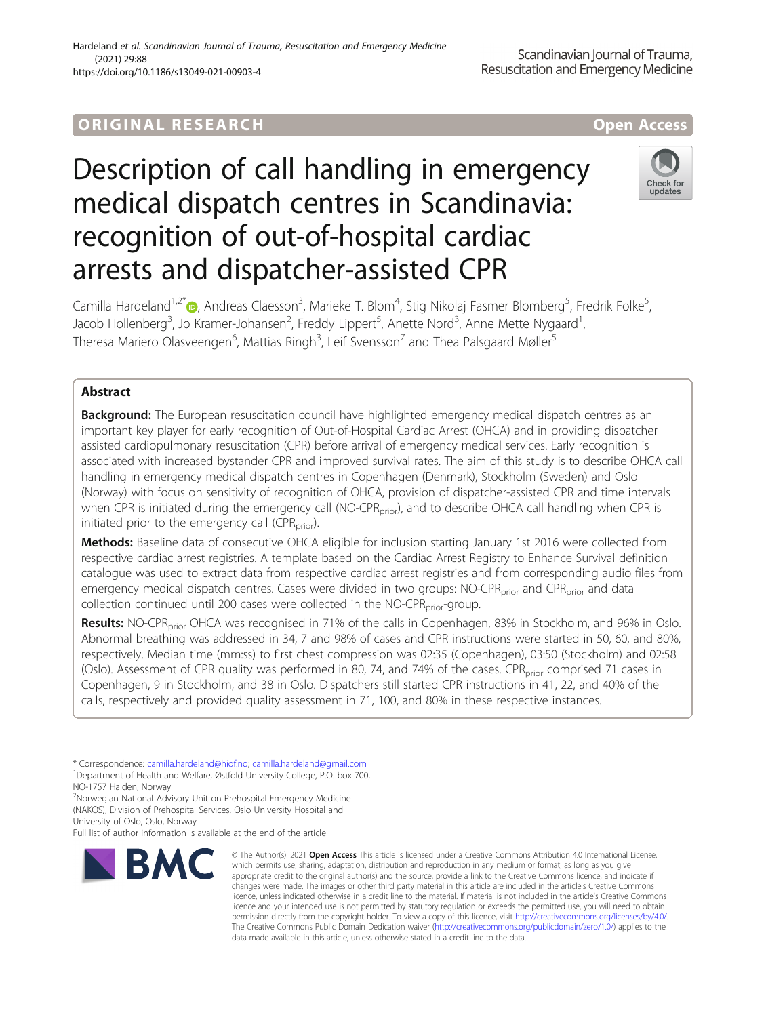## ORIGINA L R E S EA RCH Open Access

# Description of call handling in emergency medical dispatch centres in Scandinavia: recognition of out-of-hospital cardiac arrests and dispatcher-assisted CPR



Camilla Hardeland<sup>1[,](http://orcid.org/0000-0002-5608-8633)2\*</sup>®, Andreas Claesson<sup>3</sup>, Marieke T. Blom<sup>4</sup>, Stig Nikolaj Fasmer Blomberg<sup>5</sup>, Fredrik Folke<sup>5</sup> , Jacob Hollenberg<sup>3</sup>, Jo Kramer-Johansen<sup>2</sup>, Freddy Lippert<sup>5</sup>, Anette Nord<sup>3</sup>, Anne Mette Nygaard<sup>1</sup> , Theresa Mariero Olasveengen<sup>6</sup>, Mattias Ringh<sup>3</sup>, Leif Svensson<sup>7</sup> and Thea Palsgaard Møller<sup>5</sup>

### Abstract

**Background:** The European resuscitation council have highlighted emergency medical dispatch centres as an important key player for early recognition of Out-of-Hospital Cardiac Arrest (OHCA) and in providing dispatcher assisted cardiopulmonary resuscitation (CPR) before arrival of emergency medical services. Early recognition is associated with increased bystander CPR and improved survival rates. The aim of this study is to describe OHCA call handling in emergency medical dispatch centres in Copenhagen (Denmark), Stockholm (Sweden) and Oslo (Norway) with focus on sensitivity of recognition of OHCA, provision of dispatcher-assisted CPR and time intervals when CPR is initiated during the emergency call (NO-CPR<sub>prior</sub>), and to describe OHCA call handling when CPR is initiated prior to the emergency call (CPR $_{\text{prior}}$ ).

Methods: Baseline data of consecutive OHCA eligible for inclusion starting January 1st 2016 were collected from respective cardiac arrest registries. A template based on the Cardiac Arrest Registry to Enhance Survival definition catalogue was used to extract data from respective cardiac arrest registries and from corresponding audio files from emergency medical dispatch centres. Cases were divided in two groups: NO-CPR<sub>prior</sub> and CPR<sub>prior</sub> and data collection continued until 200 cases were collected in the NO-CPR<sub>prior</sub>-group.

Results: NO-CPR<sub>prior</sub> OHCA was recognised in 71% of the calls in Copenhagen, 83% in Stockholm, and 96% in Oslo. Abnormal breathing was addressed in 34, 7 and 98% of cases and CPR instructions were started in 50, 60, and 80%, respectively. Median time (mm:ss) to first chest compression was 02:35 (Copenhagen), 03:50 (Stockholm) and 02:58 (Oslo). Assessment of CPR quality was performed in 80, 74, and 74% of the cases. CPR<sub>prior</sub> comprised 71 cases in Copenhagen, 9 in Stockholm, and 38 in Oslo. Dispatchers still started CPR instructions in 41, 22, and 40% of the calls, respectively and provided quality assessment in 71, 100, and 80% in these respective instances.

\* Correspondence: [camilla.hardeland@hiof.no;](mailto:camilla.hardeland@hiof.no) [camilla.hardeland@gmail.com](mailto:camilla.hardeland@gmail.com) <sup>1</sup> <sup>1</sup>Department of Health and Welfare, Østfold University College, P.O. box 700, NO-1757 Halden, Norway

Full list of author information is available at the end of the article



<sup>©</sup> The Author(s), 2021 **Open Access** This article is licensed under a Creative Commons Attribution 4.0 International License, which permits use, sharing, adaptation, distribution and reproduction in any medium or format, as long as you give appropriate credit to the original author(s) and the source, provide a link to the Creative Commons licence, and indicate if changes were made. The images or other third party material in this article are included in the article's Creative Commons licence, unless indicated otherwise in a credit line to the material. If material is not included in the article's Creative Commons licence and your intended use is not permitted by statutory regulation or exceeds the permitted use, you will need to obtain permission directly from the copyright holder. To view a copy of this licence, visit [http://creativecommons.org/licenses/by/4.0/.](http://creativecommons.org/licenses/by/4.0/) The Creative Commons Public Domain Dedication waiver [\(http://creativecommons.org/publicdomain/zero/1.0/](http://creativecommons.org/publicdomain/zero/1.0/)) applies to the data made available in this article, unless otherwise stated in a credit line to the data.

<sup>2</sup> Norwegian National Advisory Unit on Prehospital Emergency Medicine (NAKOS), Division of Prehospital Services, Oslo University Hospital and University of Oslo, Oslo, Norway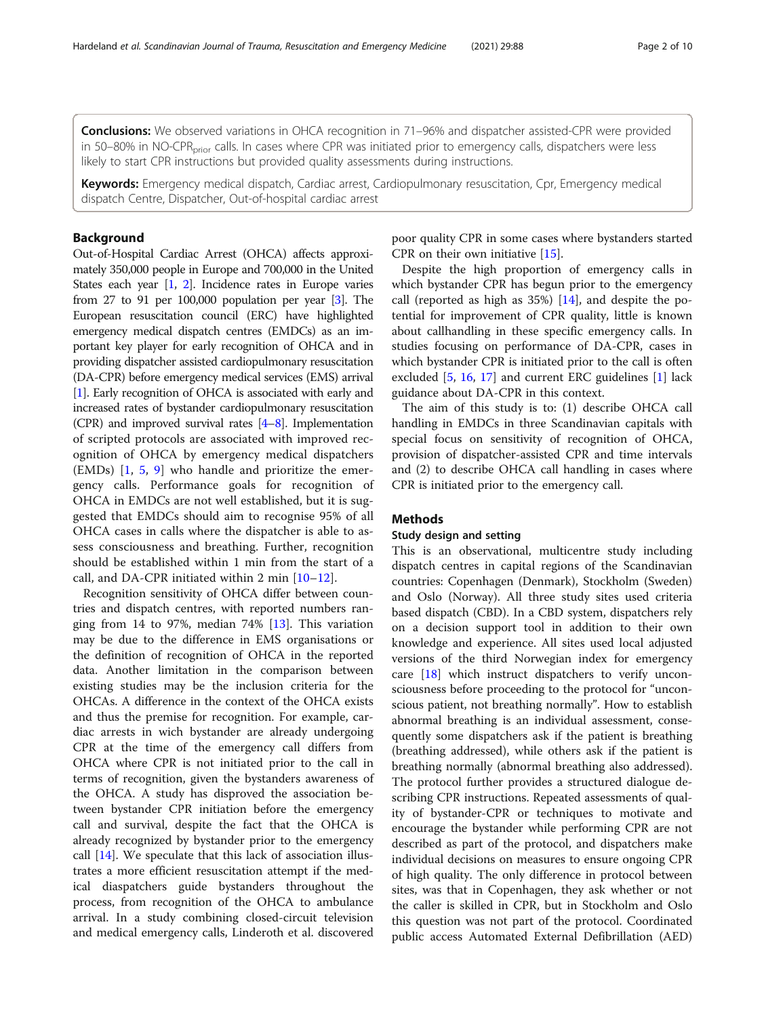Conclusions: We observed variations in OHCA recognition in 71–96% and dispatcher assisted-CPR were provided in 50–80% in NO-CPR<sub>prior</sub> calls. In cases where CPR was initiated prior to emergency calls, dispatchers were less likely to start CPR instructions but provided quality assessments during instructions.

Keywords: Emergency medical dispatch, Cardiac arrest, Cardiopulmonary resuscitation, Cpr, Emergency medical dispatch Centre, Dispatcher, Out-of-hospital cardiac arrest

#### Background

Out-of-Hospital Cardiac Arrest (OHCA) affects approximately 350,000 people in Europe and 700,000 in the United States each year [[1,](#page-8-0) [2](#page-8-0)]. Incidence rates in Europe varies from 27 to 91 per 100,000 population per year [\[3](#page-8-0)]. The European resuscitation council (ERC) have highlighted emergency medical dispatch centres (EMDCs) as an important key player for early recognition of OHCA and in providing dispatcher assisted cardiopulmonary resuscitation (DA-CPR) before emergency medical services (EMS) arrival [[1](#page-8-0)]. Early recognition of OHCA is associated with early and increased rates of bystander cardiopulmonary resuscitation (CPR) and improved survival rates  $[4-8]$  $[4-8]$  $[4-8]$ . Implementation of scripted protocols are associated with improved recognition of OHCA by emergency medical dispatchers (EMDs) [[1,](#page-8-0) [5](#page-8-0), [9\]](#page-8-0) who handle and prioritize the emergency calls. Performance goals for recognition of OHCA in EMDCs are not well established, but it is suggested that EMDCs should aim to recognise 95% of all OHCA cases in calls where the dispatcher is able to assess consciousness and breathing. Further, recognition should be established within 1 min from the start of a call, and DA-CPR initiated within 2 min [[10](#page-8-0)–[12\]](#page-8-0).

Recognition sensitivity of OHCA differ between countries and dispatch centres, with reported numbers ranging from 14 to 97%, median 74% [\[13](#page-8-0)]. This variation may be due to the difference in EMS organisations or the definition of recognition of OHCA in the reported data. Another limitation in the comparison between existing studies may be the inclusion criteria for the OHCAs. A difference in the context of the OHCA exists and thus the premise for recognition. For example, cardiac arrests in wich bystander are already undergoing CPR at the time of the emergency call differs from OHCA where CPR is not initiated prior to the call in terms of recognition, given the bystanders awareness of the OHCA. A study has disproved the association between bystander CPR initiation before the emergency call and survival, despite the fact that the OHCA is already recognized by bystander prior to the emergency call [\[14\]](#page-8-0). We speculate that this lack of association illustrates a more efficient resuscitation attempt if the medical diaspatchers guide bystanders throughout the process, from recognition of the OHCA to ambulance arrival. In a study combining closed-circuit television and medical emergency calls, Linderoth et al. discovered

poor quality CPR in some cases where bystanders started CPR on their own initiative [\[15\]](#page-8-0).

Despite the high proportion of emergency calls in which bystander CPR has begun prior to the emergency call (reported as high as 35%) [\[14](#page-8-0)], and despite the potential for improvement of CPR quality, little is known about callhandling in these specific emergency calls. In studies focusing on performance of DA-CPR, cases in which bystander CPR is initiated prior to the call is often excluded [[5,](#page-8-0) [16,](#page-9-0) [17](#page-9-0)] and current ERC guidelines [[1\]](#page-8-0) lack guidance about DA-CPR in this context.

The aim of this study is to: (1) describe OHCA call handling in EMDCs in three Scandinavian capitals with special focus on sensitivity of recognition of OHCA, provision of dispatcher-assisted CPR and time intervals and (2) to describe OHCA call handling in cases where CPR is initiated prior to the emergency call.

#### **Methods**

#### Study design and setting

This is an observational, multicentre study including dispatch centres in capital regions of the Scandinavian countries: Copenhagen (Denmark), Stockholm (Sweden) and Oslo (Norway). All three study sites used criteria based dispatch (CBD). In a CBD system, dispatchers rely on a decision support tool in addition to their own knowledge and experience. All sites used local adjusted versions of the third Norwegian index for emergency care [\[18](#page-9-0)] which instruct dispatchers to verify unconsciousness before proceeding to the protocol for "unconscious patient, not breathing normally". How to establish abnormal breathing is an individual assessment, consequently some dispatchers ask if the patient is breathing (breathing addressed), while others ask if the patient is breathing normally (abnormal breathing also addressed). The protocol further provides a structured dialogue describing CPR instructions. Repeated assessments of quality of bystander-CPR or techniques to motivate and encourage the bystander while performing CPR are not described as part of the protocol, and dispatchers make individual decisions on measures to ensure ongoing CPR of high quality. The only difference in protocol between sites, was that in Copenhagen, they ask whether or not the caller is skilled in CPR, but in Stockholm and Oslo this question was not part of the protocol. Coordinated public access Automated External Defibrillation (AED)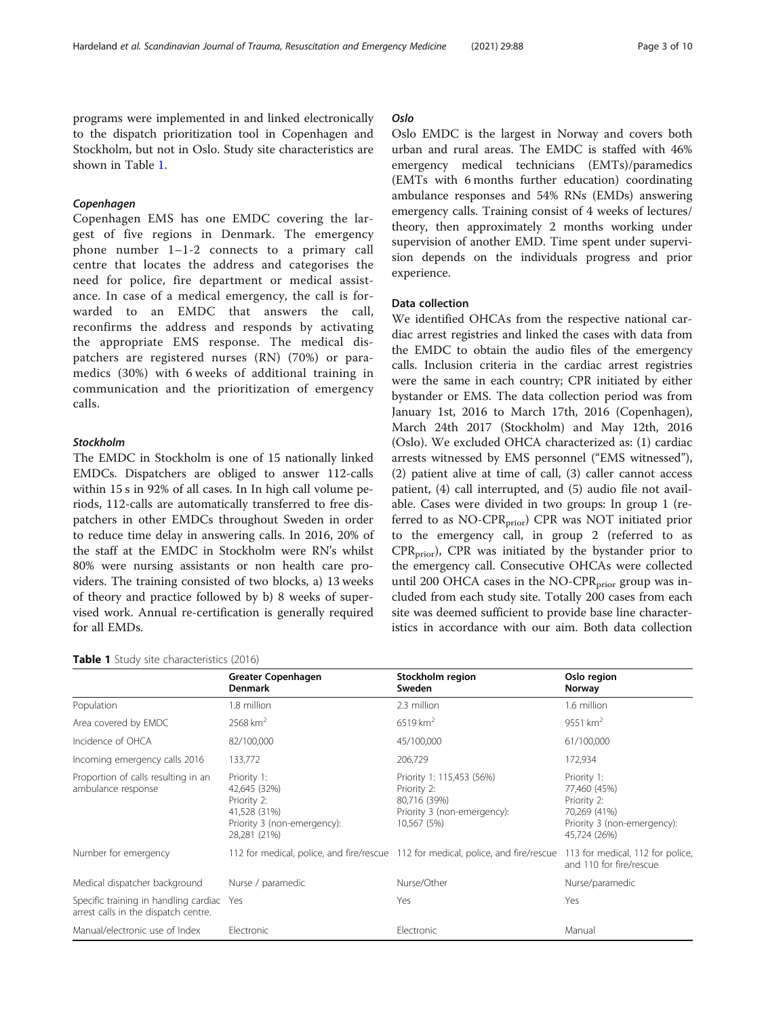programs were implemented in and linked electronically to the dispatch prioritization tool in Copenhagen and Stockholm, but not in Oslo. Study site characteristics are shown in Table 1.

Copenhagen Copenhagen EMS has one EMDC covering the largest of five regions in Denmark. The emergency phone number 1–1-2 connects to a primary call centre that locates the address and categorises the need for police, fire department or medical assistance. In case of a medical emergency, the call is forwarded to an EMDC that answers the call, reconfirms the address and responds by activating the appropriate EMS response. The medical dispatchers are registered nurses (RN) (70%) or paramedics (30%) with 6 weeks of additional training in communication and the prioritization of emergency calls.

#### Stockholm

The EMDC in Stockholm is one of 15 nationally linked EMDCs. Dispatchers are obliged to answer 112-calls within 15 s in 92% of all cases. In In high call volume periods, 112-calls are automatically transferred to free dispatchers in other EMDCs throughout Sweden in order to reduce time delay in answering calls. In 2016, 20% of the staff at the EMDC in Stockholm were RN's whilst 80% were nursing assistants or non health care providers. The training consisted of two blocks, a) 13 weeks of theory and practice followed by b) 8 weeks of supervised work. Annual re-certification is generally required for all EMDs.

#### Table 1 Study site characteristics (2016)

#### Oslo

Oslo Oslo EMDC is the largest in Norway and covers both urban and rural areas. The EMDC is staffed with 46% emergency medical technicians (EMTs)/paramedics (EMTs with 6 months further education) coordinating ambulance responses and 54% RNs (EMDs) answering emergency calls. Training consist of 4 weeks of lectures/ theory, then approximately 2 months working under supervision of another EMD. Time spent under supervision depends on the individuals progress and prior experience.

#### Data collection

We identified OHCAs from the respective national cardiac arrest registries and linked the cases with data from the EMDC to obtain the audio files of the emergency calls. Inclusion criteria in the cardiac arrest registries were the same in each country; CPR initiated by either bystander or EMS. The data collection period was from January 1st, 2016 to March 17th, 2016 (Copenhagen), March 24th 2017 (Stockholm) and May 12th, 2016 (Oslo). We excluded OHCA characterized as: (1) cardiac arrests witnessed by EMS personnel ("EMS witnessed"), (2) patient alive at time of call, (3) caller cannot access patient, (4) call interrupted, and (5) audio file not available. Cases were divided in two groups: In group 1 (referred to as NO-CPR<sub>prior</sub>) CPR was NOT initiated prior to the emergency call, in group 2 (referred to as  $CPR<sub>prior</sub>$ , CPR was initiated by the bystander prior to the emergency call. Consecutive OHCAs were collected until 200 OHCA cases in the NO-CP $R_{prior}$  group was included from each study site. Totally 200 cases from each site was deemed sufficient to provide base line characteristics in accordance with our aim. Both data collection

| <b>TUDIC I</b> below the characteristics (2010)                               |                                                                                                           |                                                                                                        |                                                                                                           |  |  |
|-------------------------------------------------------------------------------|-----------------------------------------------------------------------------------------------------------|--------------------------------------------------------------------------------------------------------|-----------------------------------------------------------------------------------------------------------|--|--|
|                                                                               | Greater Copenhagen<br>Denmark                                                                             | Stockholm region<br>Sweden                                                                             | Oslo region<br>Norway                                                                                     |  |  |
| Population                                                                    | 1.8 million                                                                                               | 2.3 million                                                                                            | 1.6 million                                                                                               |  |  |
| Area covered by EMDC                                                          | $2568 \text{ km}^2$                                                                                       | $6519 \text{ km}^2$                                                                                    | 9551 km <sup>2</sup>                                                                                      |  |  |
| Incidence of OHCA                                                             | 82/100,000                                                                                                | 45/100,000                                                                                             | 61/100,000                                                                                                |  |  |
| Incoming emergency calls 2016                                                 | 133,772                                                                                                   | 206,729                                                                                                | 172,934                                                                                                   |  |  |
| Proportion of calls resulting in an<br>ambulance response                     | Priority 1:<br>42,645 (32%)<br>Priority 2:<br>41,528 (31%)<br>Priority 3 (non-emergency):<br>28,281 (21%) | Priority 1: 115,453 (56%)<br>Priority 2:<br>80,716 (39%)<br>Priority 3 (non-emergency):<br>10,567 (5%) | Priority 1:<br>77,460 (45%)<br>Priority 2:<br>70,269 (41%)<br>Priority 3 (non-emergency):<br>45,724 (26%) |  |  |
| Number for emergency                                                          |                                                                                                           | 112 for medical, police, and fire/rescue 112 for medical, police, and fire/rescue                      | 113 for medical, 112 for police,<br>and 110 for fire/rescue                                               |  |  |
| Medical dispatcher background                                                 | Nurse / paramedic                                                                                         | Nurse/Other                                                                                            | Nurse/paramedic                                                                                           |  |  |
| Specific training in handling cardiac<br>arrest calls in the dispatch centre. | Yes                                                                                                       | Yes                                                                                                    | Yes                                                                                                       |  |  |
| Manual/electronic use of Index                                                | Electronic                                                                                                | Electronic                                                                                             | Manual                                                                                                    |  |  |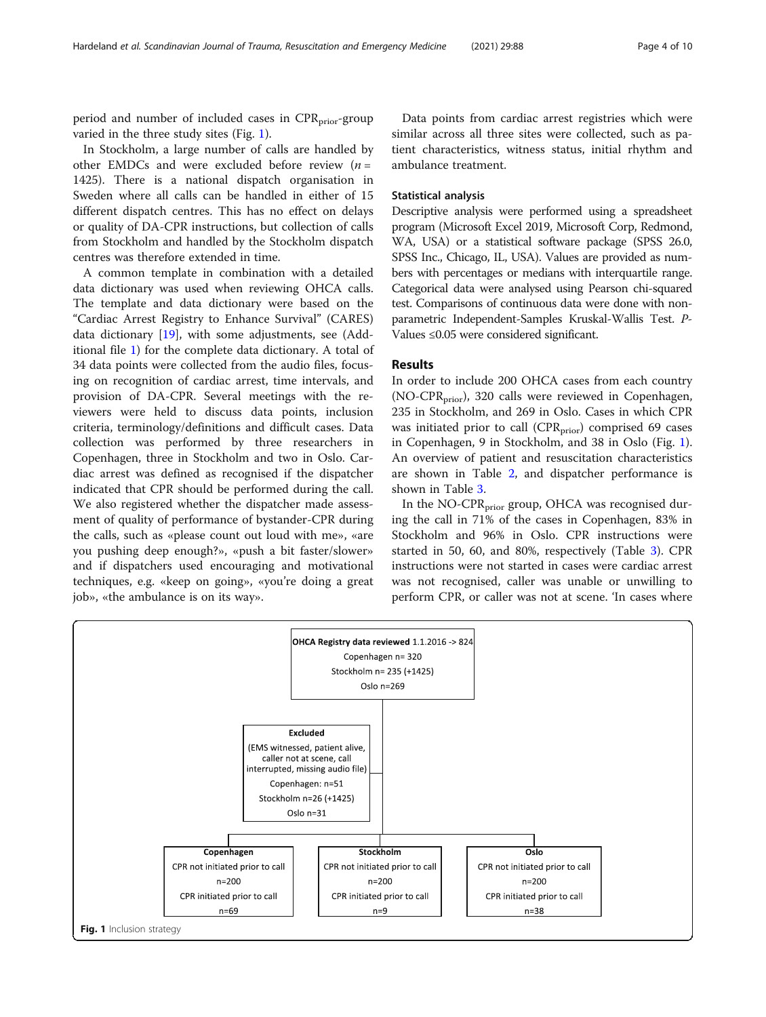period and number of included cases in CPR<sub>prior</sub>-group varied in the three study sites (Fig. 1).

In Stockholm, a large number of calls are handled by other EMDCs and were excluded before review  $(n =$ 1425). There is a national dispatch organisation in Sweden where all calls can be handled in either of 15 different dispatch centres. This has no effect on delays or quality of DA-CPR instructions, but collection of calls from Stockholm and handled by the Stockholm dispatch centres was therefore extended in time.

A common template in combination with a detailed data dictionary was used when reviewing OHCA calls. The template and data dictionary were based on the "Cardiac Arrest Registry to Enhance Survival" (CARES) data dictionary [\[19](#page-9-0)], with some adjustments, see (Additional file [1](#page-8-0)) for the complete data dictionary. A total of 34 data points were collected from the audio files, focusing on recognition of cardiac arrest, time intervals, and provision of DA-CPR. Several meetings with the reviewers were held to discuss data points, inclusion criteria, terminology/definitions and difficult cases. Data collection was performed by three researchers in Copenhagen, three in Stockholm and two in Oslo. Cardiac arrest was defined as recognised if the dispatcher indicated that CPR should be performed during the call. We also registered whether the dispatcher made assessment of quality of performance of bystander-CPR during the calls, such as «please count out loud with me», «are you pushing deep enough?», «push a bit faster/slower» and if dispatchers used encouraging and motivational techniques, e.g. «keep on going», «you're doing a great job», «the ambulance is on its way».

Data points from cardiac arrest registries which were similar across all three sites were collected, such as patient characteristics, witness status, initial rhythm and ambulance treatment.

#### Statistical analysis

Descriptive analysis were performed using a spreadsheet program (Microsoft Excel 2019, Microsoft Corp, Redmond, WA, USA) or a statistical software package (SPSS 26.0, SPSS Inc., Chicago, IL, USA). Values are provided as numbers with percentages or medians with interquartile range. Categorical data were analysed using Pearson chi-squared test. Comparisons of continuous data were done with nonparametric Independent-Samples Kruskal-Wallis Test. P-Values ≤0.05 were considered significant.

#### Results

In order to include 200 OHCA cases from each country  $(NO-CPR<sub>prior</sub>)$ , 320 calls were reviewed in Copenhagen, 235 in Stockholm, and 269 in Oslo. Cases in which CPR was initiated prior to call (CPR<sub>prior</sub>) comprised 69 cases in Copenhagen, 9 in Stockholm, and 38 in Oslo (Fig. 1). An overview of patient and resuscitation characteristics are shown in Table [2](#page-4-0), and dispatcher performance is shown in Table [3.](#page-5-0)

In the NO-CPR<sub>prior</sub> group, OHCA was recognised during the call in 71% of the cases in Copenhagen, 83% in Stockholm and 96% in Oslo. CPR instructions were started in 50, 60, and 80%, respectively (Table [3\)](#page-5-0). CPR instructions were not started in cases were cardiac arrest was not recognised, caller was unable or unwilling to perform CPR, or caller was not at scene. 'In cases where

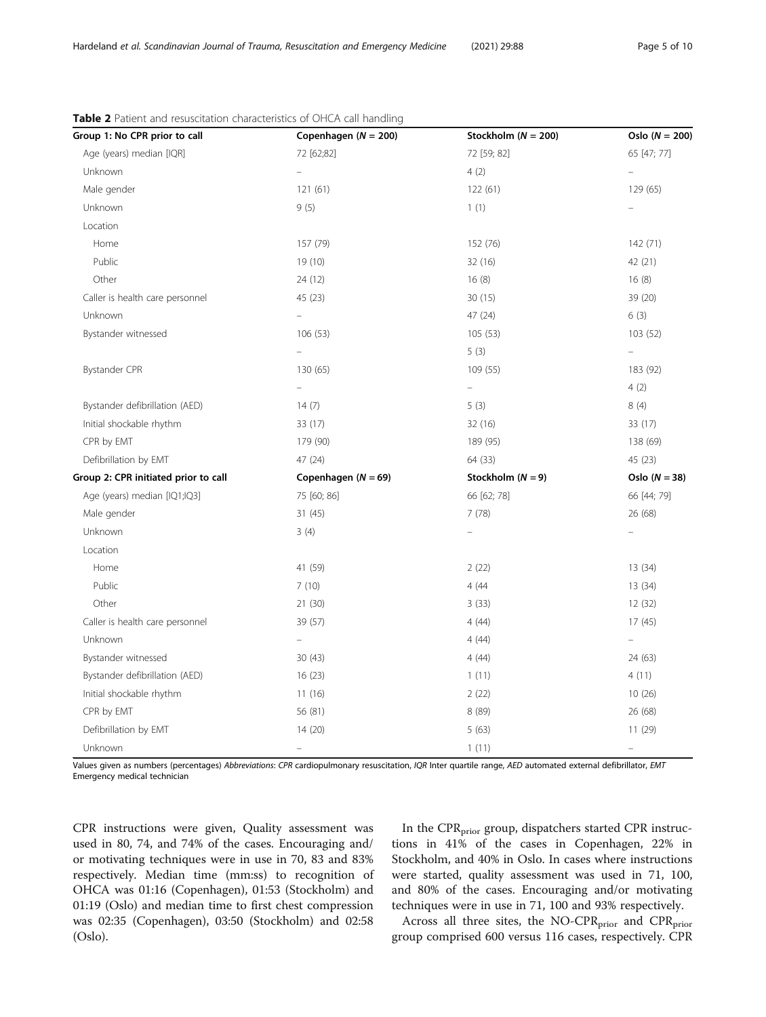| Group 1: No CPR prior to call        | Copenhagen ( $N = 200$ ) | Stockholm ( $N = 200$ ) | Oslo $(N = 200)$ |
|--------------------------------------|--------------------------|-------------------------|------------------|
| Age (years) median [IQR]             | 72 [62;82]               | 72 [59; 82]             | 65 [47; 77]      |
| Unknown                              | $\equiv$                 | 4(2)                    | $\equiv$         |
| Male gender                          | 121(61)                  | 122 (61)                | 129 (65)         |
| Unknown                              | 9(5)                     | 1(1)                    |                  |
| Location                             |                          |                         |                  |
| Home                                 | 157 (79)                 | 152 (76)                | 142 (71)         |
| Public                               | 19(10)                   | 32 (16)                 | 42 (21)          |
| Other                                | 24 (12)                  | 16(8)                   | 16(8)            |
| Caller is health care personnel      | 45 (23)                  | 30(15)                  | 39 (20)          |
| Unknown                              |                          | 47 (24)                 | 6(3)             |
| Bystander witnessed                  | 106(53)                  | 105(53)                 | 103(52)          |
|                                      |                          | 5(3)                    | $\equiv$         |
| Bystander CPR                        | 130 (65)                 | 109 (55)                | 183 (92)         |
|                                      | ÷,                       | $\equiv$                | 4(2)             |
| Bystander defibrillation (AED)       | 14(7)                    | 5(3)                    | 8(4)             |
| Initial shockable rhythm             | 33 (17)                  | 32 (16)                 | 33 (17)          |
| CPR by EMT                           | 179 (90)                 | 189 (95)                | 138 (69)         |
| Defibrillation by EMT                | 47 (24)                  | 64 (33)                 | 45 (23)          |
| Group 2: CPR initiated prior to call | Copenhagen ( $N = 69$ )  | Stockholm $(N = 9)$     | Oslo $(N = 38)$  |
| Age (years) median [IQ1;IQ3]         | 75 [60; 86]              | 66 [62; 78]             | 66 [44; 79]      |
| Male gender                          | 31(45)                   | 7(78)                   | 26 (68)          |
| Unknown                              | 3(4)                     |                         |                  |
| Location                             |                          |                         |                  |
| Home                                 | 41 (59)                  | 2(22)                   | 13 (34)          |
| Public                               | 7(10)                    | 4(44)                   | 13 (34)          |
| Other                                | 21(30)                   | 3(33)                   | 12 (32)          |
| Caller is health care personnel      | 39 (57)                  | 4(44)                   | 17(45)           |
| Unknown                              | $\overline{\phantom{0}}$ | 4(44)                   | $\equiv$         |
| Bystander witnessed                  | 30(43)                   | 4(44)                   | 24 (63)          |
| Bystander defibrillation (AED)       | 16(23)                   | 1(11)                   | 4(11)            |
| Initial shockable rhythm             | 11(16)                   | 2(22)                   | 10(26)           |
| CPR by EMT                           | 56 (81)                  | 8(89)                   | 26 (68)          |
| Defibrillation by EMT                | 14(20)                   | 5(63)                   | 11 (29)          |
| Unknown                              |                          | 1(11)                   |                  |

#### <span id="page-4-0"></span>Table 2 Patient and resuscitation characteristics of OHCA call handling

Values given as numbers (percentages) Abbreviations: CPR cardiopulmonary resuscitation, IQR Inter quartile range, AED automated external defibrillator, EMT Emergency medical technician

CPR instructions were given, Quality assessment was used in 80, 74, and 74% of the cases. Encouraging and/ or motivating techniques were in use in 70, 83 and 83% respectively. Median time (mm:ss) to recognition of OHCA was 01:16 (Copenhagen), 01:53 (Stockholm) and 01:19 (Oslo) and median time to first chest compression was 02:35 (Copenhagen), 03:50 (Stockholm) and 02:58 (Oslo).

In the  $CPR<sub>prior</sub>$  group, dispatchers started CPR instructions in 41% of the cases in Copenhagen, 22% in Stockholm, and 40% in Oslo. In cases where instructions were started, quality assessment was used in 71, 100, and 80% of the cases. Encouraging and/or motivating techniques were in use in 71, 100 and 93% respectively.

Across all three sites, the NO-CPR<sub>prior</sub> and CPR<sub>prior</sub> group comprised 600 versus 116 cases, respectively. CPR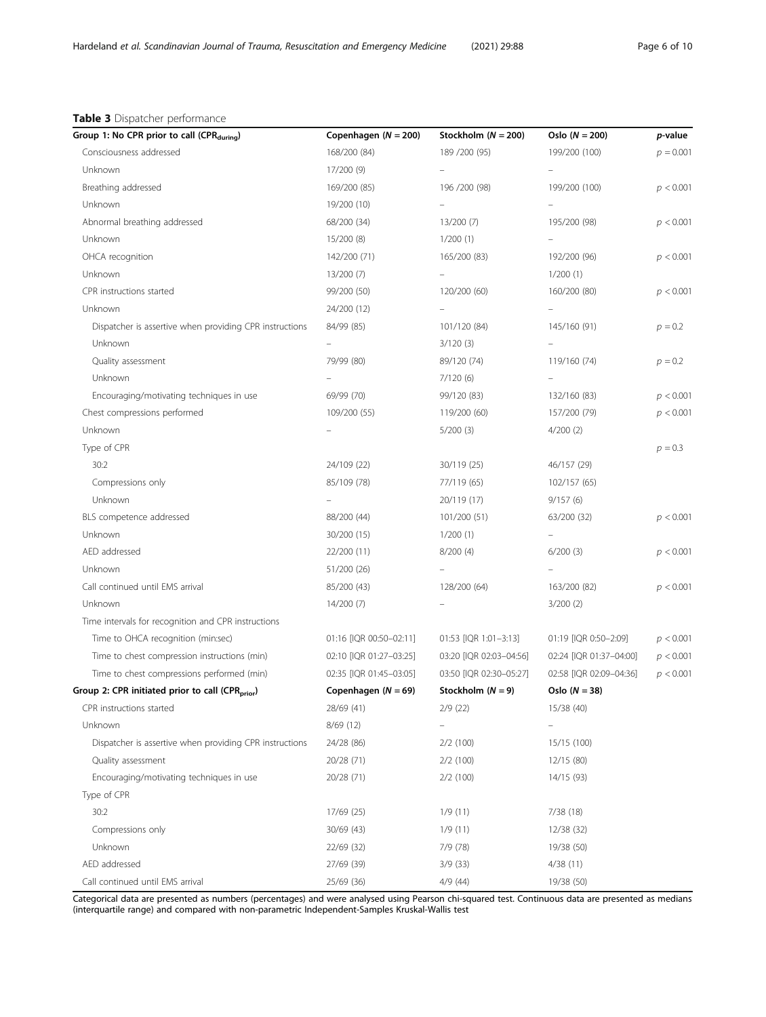#### <span id="page-5-0"></span>Table 3 Dispatcher performance

| Group 1: No CPR prior to call (CPR <sub>during</sub> )       | Copenhagen $(N = 200)$   | Stockholm $(N = 200)$    | Oslo $(N = 200)$        | <i>p</i> -value |
|--------------------------------------------------------------|--------------------------|--------------------------|-------------------------|-----------------|
| Consciousness addressed                                      | 168/200 (84)             | 189 / 200 (95)           | 199/200 (100)           | $p = 0.001$     |
| Unknown                                                      | 17/200 (9)               |                          |                         |                 |
| Breathing addressed                                          | 169/200 (85)             | 196 / 200 (98)           | 199/200 (100)           | p < 0.001       |
| Unknown                                                      | 19/200 (10)              |                          |                         |                 |
| Abnormal breathing addressed                                 | 68/200 (34)              | 13/200 (7)               | 195/200 (98)            | p < 0.001       |
| Unknown                                                      | 15/200(8)                | 1/200(1)                 |                         |                 |
| OHCA recognition                                             | 142/200 (71)             | 165/200 (83)             | 192/200 (96)            | p < 0.001       |
| Unknown                                                      | 13/200 (7)               | $\overline{\phantom{a}}$ | 1/200(1)                |                 |
| CPR instructions started                                     | 99/200 (50)              | 120/200 (60)             | 160/200 (80)            | p < 0.001       |
| Unknown                                                      | 24/200 (12)              |                          |                         |                 |
| Dispatcher is assertive when providing CPR instructions      | 84/99 (85)               | 101/120 (84)             | 145/160 (91)            | $p = 0.2$       |
| Unknown                                                      | $\overline{\phantom{0}}$ | 3/120(3)                 |                         |                 |
| Quality assessment                                           | 79/99 (80)               | 89/120 (74)              | 119/160 (74)            | $p = 0.2$       |
| Unknown                                                      |                          | 7/120(6)                 |                         |                 |
| Encouraging/motivating techniques in use                     | 69/99 (70)               | 99/120 (83)              | 132/160 (83)            | p < 0.001       |
| Chest compressions performed                                 | 109/200 (55)             | 119/200 (60)             | 157/200 (79)            | p < 0.001       |
| Unknown                                                      |                          | 5/200(3)                 | 4/200(2)                |                 |
| Type of CPR                                                  |                          |                          |                         | $p = 0.3$       |
| 30:2                                                         | 24/109 (22)              | 30/119 (25)              | 46/157 (29)             |                 |
| Compressions only                                            | 85/109 (78)              | 77/119 (65)              | 102/157 (65)            |                 |
| Unknown                                                      |                          | 20/119 (17)              | 9/157(6)                |                 |
| BLS competence addressed                                     | 88/200 (44)              | 101/200 (51)             | 63/200 (32)             | p < 0.001       |
| Unknown                                                      | 30/200 (15)              | 1/200(1)                 |                         |                 |
| AED addressed                                                | 22/200 (11)              | 8/200(4)                 | 6/200(3)                | p < 0.001       |
| Unknown                                                      | 51/200 (26)              |                          |                         |                 |
| Call continued until EMS arrival                             | 85/200 (43)              | 128/200 (64)             | 163/200 (82)            | p < 0.001       |
| Unknown                                                      | 14/200 (7)               |                          | 3/200(2)                |                 |
| Time intervals for recognition and CPR instructions          |                          |                          |                         |                 |
| Time to OHCA recognition (min:sec)                           | 01:16 [IQR 00:50-02:11]  | 01:53 [IQR 1:01-3:13]    | 01:19 [IQR 0:50-2:09]   | p < 0.001       |
| Time to chest compression instructions (min)                 | 02:10 [IQR 01:27-03:25]  | 03:20 [IQR 02:03-04:56]  | 02:24 [IQR 01:37-04:00] | p < 0.001       |
| Time to chest compressions performed (min)                   | 02:35 [IQR 01:45-03:05]  | 03:50 [IQR 02:30-05:27]  | 02:58 [IQR 02:09-04:36] | p < 0.001       |
| Group 2: CPR initiated prior to call (CPR <sub>prior</sub> ) | Copenhagen $(N = 69)$    | Stockholm $(N = 9)$      | Oslo $(N = 38)$         |                 |
| CPR instructions started                                     | 28/69 (41)               | 2/9(22)                  | 15/38 (40)              |                 |
| Unknown                                                      | 8/69(12)                 |                          |                         |                 |
| Dispatcher is assertive when providing CPR instructions      | 24/28 (86)               | 2/2(100)                 | 15/15 (100)             |                 |
| Quality assessment                                           | 20/28 (71)               | 2/2(100)                 | 12/15 (80)              |                 |
| Encouraging/motivating techniques in use                     | 20/28 (71)               | 2/2(100)                 | 14/15 (93)              |                 |
| Type of CPR                                                  |                          |                          |                         |                 |
| 30:2                                                         | 17/69 (25)               | 1/9(11)                  | 7/38(18)                |                 |
| Compressions only                                            | 30/69 (43)               | 1/9(11)                  | 12/38 (32)              |                 |
| Unknown                                                      | 22/69 (32)               | 7/9(78)                  | 19/38 (50)              |                 |
| AED addressed                                                | 27/69 (39)               | 3/9(33)                  | 4/38(11)                |                 |
| Call continued until EMS arrival                             | 25/69 (36)               | 4/9(44)                  | 19/38 (50)              |                 |

Categorical data are presented as numbers (percentages) and were analysed using Pearson chi-squared test. Continuous data are presented as medians (interquartile range) and compared with non-parametric Independent-Samples Kruskal-Wallis test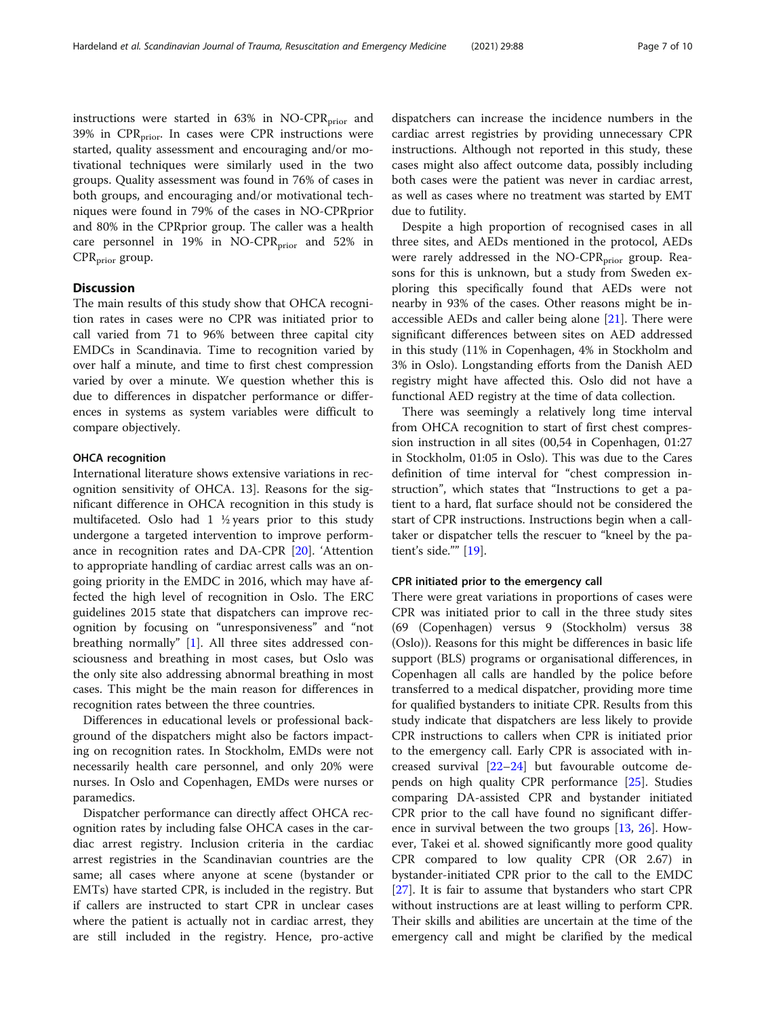instructions were started in  $63\%$  in NO-CPR<sub>prior</sub> and  $39\%$  in CPR<sub>prior</sub>. In cases were CPR instructions were started, quality assessment and encouraging and/or motivational techniques were similarly used in the two groups. Quality assessment was found in 76% of cases in both groups, and encouraging and/or motivational techniques were found in 79% of the cases in NO-CPRprior and 80% in the CPRprior group. The caller was a health care personnel in 19% in NO-CPR<sub>prior</sub> and 52% in  $CPR<sub>prior</sub>$  group.

#### **Discussion**

The main results of this study show that OHCA recognition rates in cases were no CPR was initiated prior to call varied from 71 to 96% between three capital city EMDCs in Scandinavia. Time to recognition varied by over half a minute, and time to first chest compression varied by over a minute. We question whether this is due to differences in dispatcher performance or differences in systems as system variables were difficult to compare objectively.

#### OHCA recognition

International literature shows extensive variations in recognition sensitivity of OHCA. 13]. Reasons for the significant difference in OHCA recognition in this study is multifaceted. Oslo had  $1\frac{1}{2}$  years prior to this study undergone a targeted intervention to improve performance in recognition rates and DA-CPR [[20\]](#page-9-0). 'Attention to appropriate handling of cardiac arrest calls was an ongoing priority in the EMDC in 2016, which may have affected the high level of recognition in Oslo. The ERC guidelines 2015 state that dispatchers can improve recognition by focusing on "unresponsiveness" and "not breathing normally" [[1\]](#page-8-0). All three sites addressed consciousness and breathing in most cases, but Oslo was the only site also addressing abnormal breathing in most cases. This might be the main reason for differences in recognition rates between the three countries.

Differences in educational levels or professional background of the dispatchers might also be factors impacting on recognition rates. In Stockholm, EMDs were not necessarily health care personnel, and only 20% were nurses. In Oslo and Copenhagen, EMDs were nurses or paramedics.

Dispatcher performance can directly affect OHCA recognition rates by including false OHCA cases in the cardiac arrest registry. Inclusion criteria in the cardiac arrest registries in the Scandinavian countries are the same; all cases where anyone at scene (bystander or EMTs) have started CPR, is included in the registry. But if callers are instructed to start CPR in unclear cases where the patient is actually not in cardiac arrest, they are still included in the registry. Hence, pro-active dispatchers can increase the incidence numbers in the cardiac arrest registries by providing unnecessary CPR instructions. Although not reported in this study, these cases might also affect outcome data, possibly including both cases were the patient was never in cardiac arrest, as well as cases where no treatment was started by EMT due to futility.

Despite a high proportion of recognised cases in all three sites, and AEDs mentioned in the protocol, AEDs were rarely addressed in the NO-CPR<sub>prior</sub> group. Reasons for this is unknown, but a study from Sweden exploring this specifically found that AEDs were not nearby in 93% of the cases. Other reasons might be inaccessible AEDs and caller being alone  $[21]$  $[21]$ . There were significant differences between sites on AED addressed in this study (11% in Copenhagen, 4% in Stockholm and 3% in Oslo). Longstanding efforts from the Danish AED registry might have affected this. Oslo did not have a functional AED registry at the time of data collection.

There was seemingly a relatively long time interval from OHCA recognition to start of first chest compression instruction in all sites (00,54 in Copenhagen, 01:27 in Stockholm, 01:05 in Oslo). This was due to the Cares definition of time interval for "chest compression instruction", which states that "Instructions to get a patient to a hard, flat surface should not be considered the start of CPR instructions. Instructions begin when a calltaker or dispatcher tells the rescuer to "kneel by the patient's side."" [\[19](#page-9-0)].

#### CPR initiated prior to the emergency call

There were great variations in proportions of cases were CPR was initiated prior to call in the three study sites (69 (Copenhagen) versus 9 (Stockholm) versus 38 (Oslo)). Reasons for this might be differences in basic life support (BLS) programs or organisational differences, in Copenhagen all calls are handled by the police before transferred to a medical dispatcher, providing more time for qualified bystanders to initiate CPR. Results from this study indicate that dispatchers are less likely to provide CPR instructions to callers when CPR is initiated prior to the emergency call. Early CPR is associated with increased survival [\[22](#page-9-0)–[24\]](#page-9-0) but favourable outcome depends on high quality CPR performance [[25\]](#page-9-0). Studies comparing DA-assisted CPR and bystander initiated CPR prior to the call have found no significant difference in survival between the two groups [\[13,](#page-8-0) [26](#page-9-0)]. However, Takei et al. showed significantly more good quality CPR compared to low quality CPR (OR 2.67) in bystander-initiated CPR prior to the call to the EMDC [[27\]](#page-9-0). It is fair to assume that bystanders who start CPR without instructions are at least willing to perform CPR. Their skills and abilities are uncertain at the time of the emergency call and might be clarified by the medical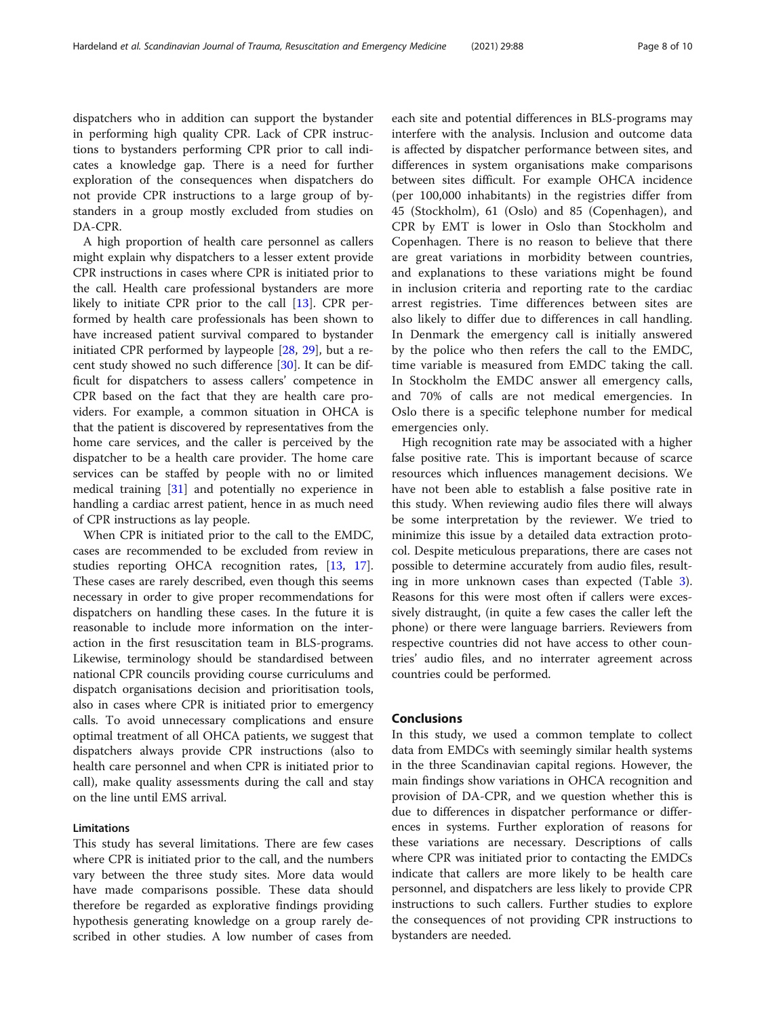dispatchers who in addition can support the bystander in performing high quality CPR. Lack of CPR instructions to bystanders performing CPR prior to call indicates a knowledge gap. There is a need for further exploration of the consequences when dispatchers do not provide CPR instructions to a large group of bystanders in a group mostly excluded from studies on DA-CPR.

A high proportion of health care personnel as callers might explain why dispatchers to a lesser extent provide CPR instructions in cases where CPR is initiated prior to the call. Health care professional bystanders are more likely to initiate CPR prior to the call [[13](#page-8-0)]. CPR performed by health care professionals has been shown to have increased patient survival compared to bystander initiated CPR performed by laypeople [[28](#page-9-0), [29\]](#page-9-0), but a recent study showed no such difference [\[30](#page-9-0)]. It can be difficult for dispatchers to assess callers' competence in CPR based on the fact that they are health care providers. For example, a common situation in OHCA is that the patient is discovered by representatives from the home care services, and the caller is perceived by the dispatcher to be a health care provider. The home care services can be staffed by people with no or limited medical training [\[31\]](#page-9-0) and potentially no experience in handling a cardiac arrest patient, hence in as much need of CPR instructions as lay people.

When CPR is initiated prior to the call to the EMDC, cases are recommended to be excluded from review in studies reporting OHCA recognition rates, [[13,](#page-8-0) [17](#page-9-0)]. These cases are rarely described, even though this seems necessary in order to give proper recommendations for dispatchers on handling these cases. In the future it is reasonable to include more information on the interaction in the first resuscitation team in BLS-programs. Likewise, terminology should be standardised between national CPR councils providing course curriculums and dispatch organisations decision and prioritisation tools, also in cases where CPR is initiated prior to emergency calls. To avoid unnecessary complications and ensure optimal treatment of all OHCA patients, we suggest that dispatchers always provide CPR instructions (also to health care personnel and when CPR is initiated prior to call), make quality assessments during the call and stay on the line until EMS arrival.

#### Limitations

This study has several limitations. There are few cases where CPR is initiated prior to the call, and the numbers vary between the three study sites. More data would have made comparisons possible. These data should therefore be regarded as explorative findings providing hypothesis generating knowledge on a group rarely described in other studies. A low number of cases from each site and potential differences in BLS-programs may interfere with the analysis. Inclusion and outcome data is affected by dispatcher performance between sites, and differences in system organisations make comparisons between sites difficult. For example OHCA incidence (per 100,000 inhabitants) in the registries differ from 45 (Stockholm), 61 (Oslo) and 85 (Copenhagen), and CPR by EMT is lower in Oslo than Stockholm and Copenhagen. There is no reason to believe that there are great variations in morbidity between countries, and explanations to these variations might be found in inclusion criteria and reporting rate to the cardiac arrest registries. Time differences between sites are also likely to differ due to differences in call handling. In Denmark the emergency call is initially answered by the police who then refers the call to the EMDC, time variable is measured from EMDC taking the call. In Stockholm the EMDC answer all emergency calls, and 70% of calls are not medical emergencies. In Oslo there is a specific telephone number for medical emergencies only.

High recognition rate may be associated with a higher false positive rate. This is important because of scarce resources which influences management decisions. We have not been able to establish a false positive rate in this study. When reviewing audio files there will always be some interpretation by the reviewer. We tried to minimize this issue by a detailed data extraction protocol. Despite meticulous preparations, there are cases not possible to determine accurately from audio files, resulting in more unknown cases than expected (Table [3](#page-5-0)). Reasons for this were most often if callers were excessively distraught, (in quite a few cases the caller left the phone) or there were language barriers. Reviewers from respective countries did not have access to other countries' audio files, and no interrater agreement across countries could be performed.

#### Conclusions

In this study, we used a common template to collect data from EMDCs with seemingly similar health systems in the three Scandinavian capital regions. However, the main findings show variations in OHCA recognition and provision of DA-CPR, and we question whether this is due to differences in dispatcher performance or differences in systems. Further exploration of reasons for these variations are necessary. Descriptions of calls where CPR was initiated prior to contacting the EMDCs indicate that callers are more likely to be health care personnel, and dispatchers are less likely to provide CPR instructions to such callers. Further studies to explore the consequences of not providing CPR instructions to bystanders are needed.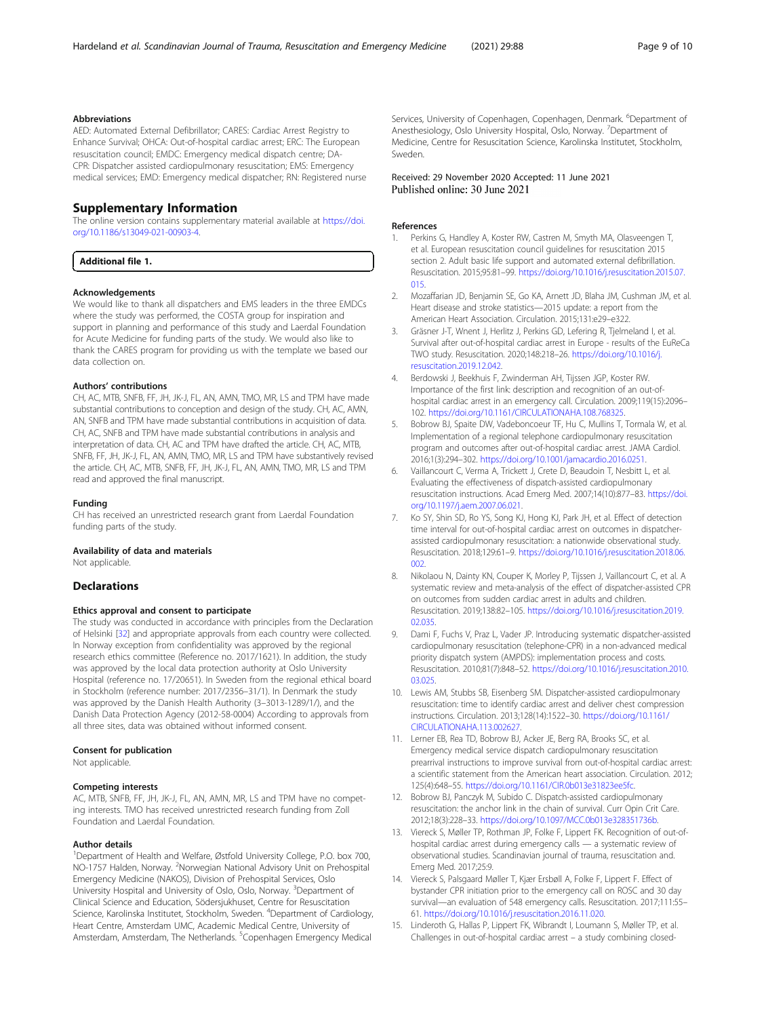#### <span id="page-8-0"></span>Abbreviations

AED: Automated External Defibrillator; CARES: Cardiac Arrest Registry to Enhance Survival; OHCA: Out-of-hospital cardiac arrest; ERC: The European resuscitation council; EMDC: Emergency medical dispatch centre; DA-CPR: Dispatcher assisted cardiopulmonary resuscitation; EMS: Emergency medical services; EMD: Emergency medical dispatcher; RN: Registered nurse

#### Supplementary Information

The online version contains supplementary material available at [https://doi.](https://doi.org/10.1186/s13049-021-00903-4) [org/10.1186/s13049-021-00903-4.](https://doi.org/10.1186/s13049-021-00903-4)

Additional file 1.

#### Acknowledgements

We would like to thank all dispatchers and EMS leaders in the three EMDCs where the study was performed, the COSTA group for inspiration and support in planning and performance of this study and Laerdal Foundation for Acute Medicine for funding parts of the study. We would also like to thank the CARES program for providing us with the template we based our data collection on.

#### Authors' contributions

CH, AC, MTB, SNFB, FF, JH, JK-J, FL, AN, AMN, TMO, MR, LS and TPM have made substantial contributions to conception and design of the study. CH, AC, AMN, AN, SNFB and TPM have made substantial contributions in acquisition of data. CH, AC, SNFB and TPM have made substantial contributions in analysis and interpretation of data. CH, AC and TPM have drafted the article. CH, AC, MTB, SNFB, FF, JH, JK-J, FL, AN, AMN, TMO, MR, LS and TPM have substantively revised the article. CH, AC, MTB, SNFB, FF, JH, JK-J, FL, AN, AMN, TMO, MR, LS and TPM read and approved the final manuscript.

#### Funding

CH has received an unrestricted research grant from Laerdal Foundation funding parts of the study.

#### Availability of data and materials

Not applicable.

#### **Declarations**

#### Ethics approval and consent to participate

The study was conducted in accordance with principles from the Declaration of Helsinki [[32](#page-9-0)] and appropriate approvals from each country were collected. In Norway exception from confidentiality was approved by the regional research ethics committee (Reference no. 2017/1621). In addition, the study was approved by the local data protection authority at Oslo University Hospital (reference no. 17/20651). In Sweden from the regional ethical board in Stockholm (reference number: 2017/2356–31/1). In Denmark the study was approved by the Danish Health Authority (3–3013-1289/1/), and the Danish Data Protection Agency (2012-58-0004) According to approvals from all three sites, data was obtained without informed consent.

#### Consent for publication

Not applicable.

#### Competing interests

AC, MTB, SNFB, FF, JH, JK-J, FL, AN, AMN, MR, LS and TPM have no competing interests. TMO has received unrestricted research funding from Zoll Foundation and Laerdal Foundation.

#### Author details

<sup>1</sup>Department of Health and Welfare, Østfold University College, P.O. box 700, NO-1757 Halden, Norway. <sup>2</sup>Norwegian National Advisory Unit on Prehospital Emergency Medicine (NAKOS), Division of Prehospital Services, Oslo University Hospital and University of Oslo, Oslo, Norway. <sup>3</sup>Department of Clinical Science and Education, Södersjukhuset, Centre for Resuscitation Science, Karolinska Institutet, Stockholm, Sweden. <sup>4</sup>Department of Cardiology, Heart Centre, Amsterdam UMC, Academic Medical Centre, University of Amsterdam, Amsterdam, The Netherlands. <sup>5</sup>Copenhagen Emergency Medical

Services, University of Copenhagen, Copenhagen, Denmark. <sup>6</sup>Department of Anesthesiology, Oslo University Hospital, Oslo, Norway. <sup>7</sup>Department of Medicine, Centre for Resuscitation Science, Karolinska Institutet, Stockholm, Sweden.

#### Received: 29 November 2020 Accepted: 11 June 2021 Published online: 30 June 2021

#### References

- 1. Perkins G, Handley A, Koster RW, Castren M, Smyth MA, Olasveengen T, et al. European resuscitation council guidelines for resuscitation 2015 section 2. Adult basic life support and automated external defibrillation. Resuscitation. 2015;95:81–99. [https://doi.org/10.1016/j.resuscitation.2015.07.](https://doi.org/10.1016/j.resuscitation.2015.07.015) [015.](https://doi.org/10.1016/j.resuscitation.2015.07.015)
- 2. Mozaffarian JD, Benjamin SE, Go KA, Arnett JD, Blaha JM, Cushman JM, et al. Heart disease and stroke statistics—2015 update: a report from the American Heart Association. Circulation. 2015;131:e29–e322.
- Gräsner J-T, Wnent J, Herlitz J, Perkins GD, Lefering R, Tjelmeland I, et al. Survival after out-of-hospital cardiac arrest in Europe - results of the EuReCa TWO study. Resuscitation. 2020;148:218–26. [https://doi.org/10.1016/j.](https://doi.org/10.1016/j.resuscitation.2019.12.042) [resuscitation.2019.12.042.](https://doi.org/10.1016/j.resuscitation.2019.12.042)
- 4. Berdowski J, Beekhuis F, Zwinderman AH, Tijssen JGP, Koster RW. Importance of the first link: description and recognition of an out-ofhospital cardiac arrest in an emergency call. Circulation. 2009;119(15):2096– 102. <https://doi.org/10.1161/CIRCULATIONAHA.108.768325>.
- 5. Bobrow BJ, Spaite DW, Vadeboncoeur TF, Hu C, Mullins T, Tormala W, et al. Implementation of a regional telephone cardiopulmonary resuscitation program and outcomes after out-of-hospital cardiac arrest. JAMA Cardiol. 2016;1(3):294–302. [https://doi.org/10.1001/jamacardio.2016.0251.](https://doi.org/10.1001/jamacardio.2016.0251)
- 6. Vaillancourt C, Verma A, Trickett J, Crete D, Beaudoin T, Nesbitt L, et al. Evaluating the effectiveness of dispatch-assisted cardiopulmonary resuscitation instructions. Acad Emerg Med. 2007;14(10):877–83. [https://doi.](https://doi.org/10.1197/j.aem.2007.06.021) [org/10.1197/j.aem.2007.06.021](https://doi.org/10.1197/j.aem.2007.06.021).
- 7. Ko SY, Shin SD, Ro YS, Song KJ, Hong KJ, Park JH, et al. Effect of detection time interval for out-of-hospital cardiac arrest on outcomes in dispatcherassisted cardiopulmonary resuscitation: a nationwide observational study. Resuscitation. 2018;129:61–9. [https://doi.org/10.1016/j.resuscitation.2018.06.](https://doi.org/10.1016/j.resuscitation.2018.06.002) [002.](https://doi.org/10.1016/j.resuscitation.2018.06.002)
- 8. Nikolaou N, Dainty KN, Couper K, Morley P, Tijssen J, Vaillancourt C, et al. A systematic review and meta-analysis of the effect of dispatcher-assisted CPR on outcomes from sudden cardiac arrest in adults and children. Resuscitation. 2019;138:82–105. [https://doi.org/10.1016/j.resuscitation.2019.](https://doi.org/10.1016/j.resuscitation.2019.02.035) [02.035](https://doi.org/10.1016/j.resuscitation.2019.02.035).
- 9. Dami F, Fuchs V, Praz L, Vader JP. Introducing systematic dispatcher-assisted cardiopulmonary resuscitation (telephone-CPR) in a non-advanced medical priority dispatch system (AMPDS): implementation process and costs. Resuscitation. 2010;81(7):848–52. [https://doi.org/10.1016/j.resuscitation.2010.](https://doi.org/10.1016/j.resuscitation.2010.03.025) [03.025](https://doi.org/10.1016/j.resuscitation.2010.03.025).
- 10. Lewis AM, Stubbs SB, Eisenberg SM. Dispatcher-assisted cardiopulmonary resuscitation: time to identify cardiac arrest and deliver chest compression instructions. Circulation. 2013;128(14):1522–30. [https://doi.org/10.1161/](https://doi.org/10.1161/CIRCULATIONAHA.113.002627) [CIRCULATIONAHA.113.002627](https://doi.org/10.1161/CIRCULATIONAHA.113.002627).
- 11. Lerner EB, Rea TD, Bobrow BJ, Acker JE, Berg RA, Brooks SC, et al. Emergency medical service dispatch cardiopulmonary resuscitation prearrival instructions to improve survival from out-of-hospital cardiac arrest: a scientific statement from the American heart association. Circulation. 2012; 125(4):648–55. [https://doi.org/10.1161/CIR.0b013e31823ee5fc.](https://doi.org/10.1161/CIR.0b013e31823ee5fc)
- 12. Bobrow BJ, Panczyk M, Subido C. Dispatch-assisted cardiopulmonary resuscitation: the anchor link in the chain of survival. Curr Opin Crit Care. 2012;18(3):228–33. <https://doi.org/10.1097/MCC.0b013e328351736b>.
- 13. Viereck S, Møller TP, Rothman JP, Folke F, Lippert FK. Recognition of out-ofhospital cardiac arrest during emergency calls — a systematic review of observational studies. Scandinavian journal of trauma, resuscitation and. Emerg Med. 2017;25:9.
- 14. Viereck S, Palsgaard Møller T, Kjær Ersbøll A, Folke F, Lippert F. Effect of bystander CPR initiation prior to the emergency call on ROSC and 30 day survival—an evaluation of 548 emergency calls. Resuscitation. 2017;111:55– 61. [https://doi.org/10.1016/j.resuscitation.2016.11.020.](https://doi.org/10.1016/j.resuscitation.2016.11.020)
- 15. Linderoth G, Hallas P, Lippert FK, Wibrandt I, Loumann S, Møller TP, et al. Challenges in out-of-hospital cardiac arrest – a study combining closed-